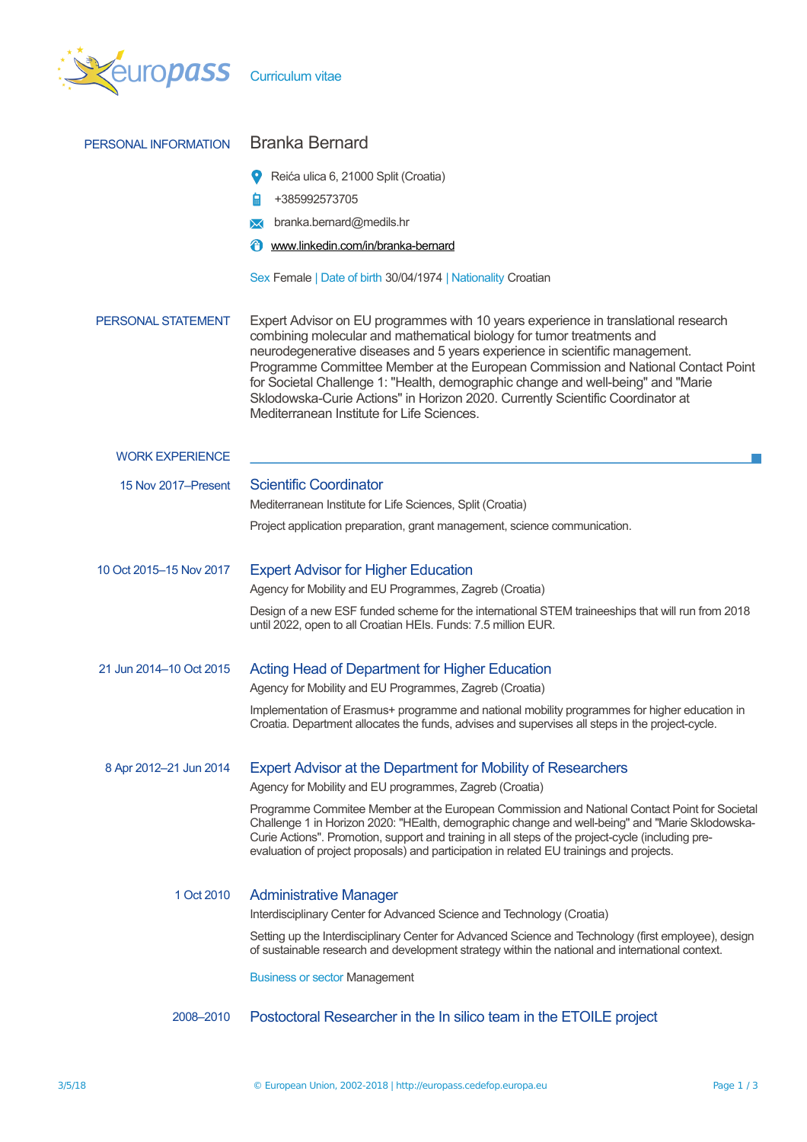

| PERSONAL INFORMATION    | <b>Branka Bernard</b>                                                                                                                                                                                                                                                                                                                                                                                                                                                                                                                              |  |  |  |  |  |
|-------------------------|----------------------------------------------------------------------------------------------------------------------------------------------------------------------------------------------------------------------------------------------------------------------------------------------------------------------------------------------------------------------------------------------------------------------------------------------------------------------------------------------------------------------------------------------------|--|--|--|--|--|
|                         | Reića ulica 6, 21000 Split (Croatia)                                                                                                                                                                                                                                                                                                                                                                                                                                                                                                               |  |  |  |  |  |
|                         | 日<br>+385992573705                                                                                                                                                                                                                                                                                                                                                                                                                                                                                                                                 |  |  |  |  |  |
|                         | branka.bernard@medils.hr                                                                                                                                                                                                                                                                                                                                                                                                                                                                                                                           |  |  |  |  |  |
|                         | ₩<br>www.linkedin.com/in/branka-bernard                                                                                                                                                                                                                                                                                                                                                                                                                                                                                                            |  |  |  |  |  |
|                         | Sex Female   Date of birth 30/04/1974   Nationality Croatian                                                                                                                                                                                                                                                                                                                                                                                                                                                                                       |  |  |  |  |  |
| PERSONAL STATEMENT      | Expert Advisor on EU programmes with 10 years experience in translational research<br>combining molecular and mathematical biology for tumor treatments and<br>neurodegenerative diseases and 5 years experience in scientific management.<br>Programme Committee Member at the European Commission and National Contact Point<br>for Societal Challenge 1: "Health, demographic change and well-being" and "Marie<br>Sklodowska-Curie Actions" in Horizon 2020. Currently Scientific Coordinator at<br>Mediterranean Institute for Life Sciences. |  |  |  |  |  |
| <b>WORK EXPERIENCE</b>  |                                                                                                                                                                                                                                                                                                                                                                                                                                                                                                                                                    |  |  |  |  |  |
| 15 Nov 2017–Present     | <b>Scientific Coordinator</b>                                                                                                                                                                                                                                                                                                                                                                                                                                                                                                                      |  |  |  |  |  |
|                         | Mediterranean Institute for Life Sciences, Split (Croatia)                                                                                                                                                                                                                                                                                                                                                                                                                                                                                         |  |  |  |  |  |
|                         | Project application preparation, grant management, science communication.                                                                                                                                                                                                                                                                                                                                                                                                                                                                          |  |  |  |  |  |
| 10 Oct 2015-15 Nov 2017 | <b>Expert Advisor for Higher Education</b>                                                                                                                                                                                                                                                                                                                                                                                                                                                                                                         |  |  |  |  |  |
|                         | Agency for Mobility and EU Programmes, Zagreb (Croatia)                                                                                                                                                                                                                                                                                                                                                                                                                                                                                            |  |  |  |  |  |
|                         | Design of a new ESF funded scheme for the international STEM traineeships that will run from 2018<br>until 2022, open to all Croatian HEIs. Funds: 7.5 million EUR.                                                                                                                                                                                                                                                                                                                                                                                |  |  |  |  |  |
| 21 Jun 2014-10 Oct 2015 | <b>Acting Head of Department for Higher Education</b>                                                                                                                                                                                                                                                                                                                                                                                                                                                                                              |  |  |  |  |  |
|                         | Agency for Mobility and EU Programmes, Zagreb (Croatia)                                                                                                                                                                                                                                                                                                                                                                                                                                                                                            |  |  |  |  |  |
|                         | Implementation of Erasmus+ programme and national mobility programmes for higher education in<br>Croatia. Department allocates the funds, advises and supervises all steps in the project-cycle.                                                                                                                                                                                                                                                                                                                                                   |  |  |  |  |  |
| 8 Apr 2012-21 Jun 2014  | <b>Expert Advisor at the Department for Mobility of Researchers</b><br>Agency for Mobility and EU programmes, Zagreb (Croatia)                                                                                                                                                                                                                                                                                                                                                                                                                     |  |  |  |  |  |
|                         | Programme Commitee Member at the European Commission and National Contact Point for Societal                                                                                                                                                                                                                                                                                                                                                                                                                                                       |  |  |  |  |  |
|                         | Challenge 1 in Horizon 2020: "HEalth, demographic change and well-being" and "Marie Sklodowska-<br>Curie Actions". Promotion, support and training in all steps of the project-cycle (including pre-<br>evaluation of project proposals) and participation in related EU trainings and projects.                                                                                                                                                                                                                                                   |  |  |  |  |  |
| 1 Oct 2010              | <b>Administrative Manager</b>                                                                                                                                                                                                                                                                                                                                                                                                                                                                                                                      |  |  |  |  |  |
|                         | Interdisciplinary Center for Advanced Science and Technology (Croatia)                                                                                                                                                                                                                                                                                                                                                                                                                                                                             |  |  |  |  |  |
|                         | Setting up the Interdisciplinary Center for Advanced Science and Technology (first employee), design<br>of sustainable research and development strategy within the national and international context.                                                                                                                                                                                                                                                                                                                                            |  |  |  |  |  |
|                         | <b>Business or sector Management</b>                                                                                                                                                                                                                                                                                                                                                                                                                                                                                                               |  |  |  |  |  |
| 2008-2010               | Postoctoral Researcher in the In silico team in the ETOILE project                                                                                                                                                                                                                                                                                                                                                                                                                                                                                 |  |  |  |  |  |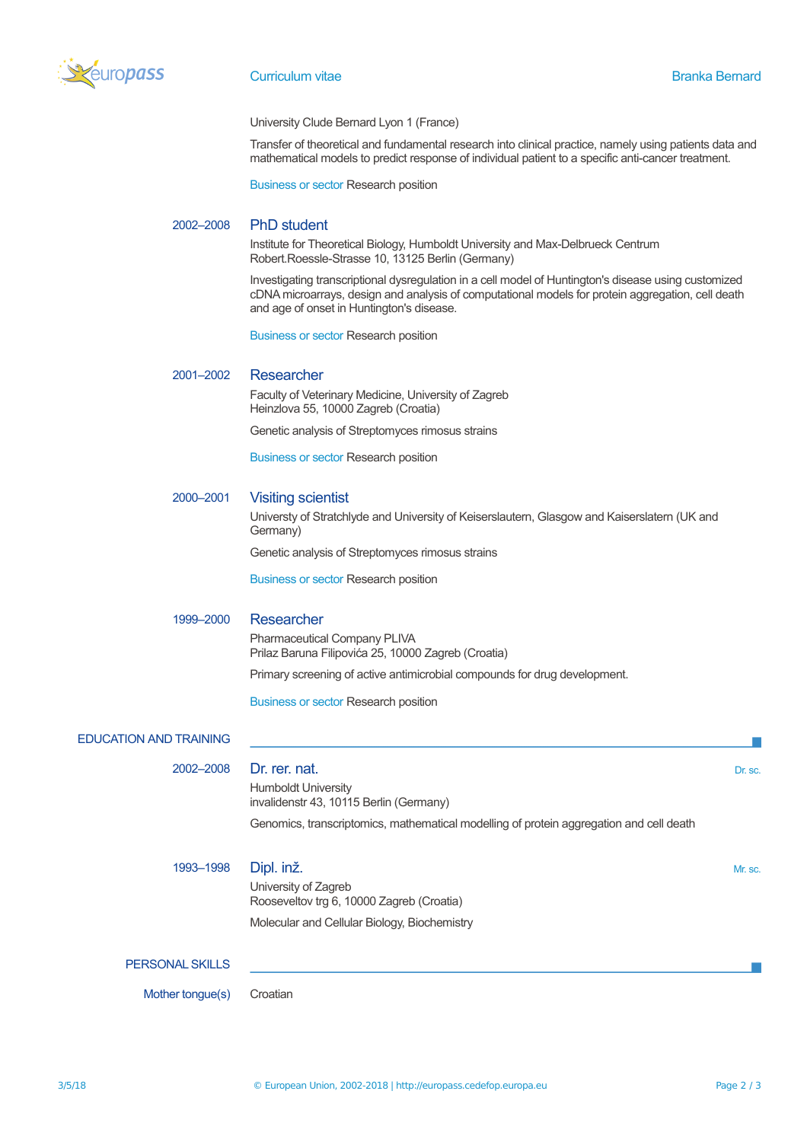

University Clude Bernard Lyon 1 (France)

Transfer of theoretical and fundamental research into clinical practice, namely using patients data and mathematical models to predict response of individual patient to a specific anti-cancer treatment.

Business or sector Research position

# 2002–2008 PhD student

Institute for Theoretical Biology, Humboldt University and Max-Delbrueck Centrum Robert.Roessle-Strasse 10, 13125 Berlin (Germany)

Investigating transcriptional dysregulation in a cell model of Huntington's disease using customized cDNA microarrays, design and analysis of computational models for protein aggregation, cell death and age of onset in Huntington's disease.

Business or sector Research position

## 2001–2002 Researcher

Faculty of Veterinary Medicine, University of Zagreb Heinzlova 55, 10000 Zagreb (Croatia)

Genetic analysis of Streptomyces rimosus strains

Business or sector Research position

#### 2000–2001 Visiting scientist

Universty of Stratchlyde and University of Keiserslautern, Glasgow and Kaiserslatern (UK and Germany)

Genetic analysis of Streptomyces rimosus strains

Business or sector Research position

### 1999–2000 Researcher

Pharmaceutical Company PLIVA Prilaz Baruna Filipovića 25, 10000 Zagreb (Croatia)

Primary screening of active antimicrobial compounds for drug development.

Business or sector Research position

### EDUCATION AND TRAINING

2002–2008 Dr. rer. nat. **Dr. Sc. 2002–2008** Dr. sc. Humboldt University invalidenstr 43, 10115 Berlin (Germany)

Genomics, transcriptomics, mathematical modelling of protein aggregation and cell death

| 1993-1998              | Dipl. inž.<br>University of Zagreb<br>Rooseveltov trg 6, 10000 Zagreb (Croatia)<br>Molecular and Cellular Biology, Biochemistry | Mr. sc. |
|------------------------|---------------------------------------------------------------------------------------------------------------------------------|---------|
| <b>PERSONAL SKILLS</b> |                                                                                                                                 |         |

Mother tonque(s) Croatian